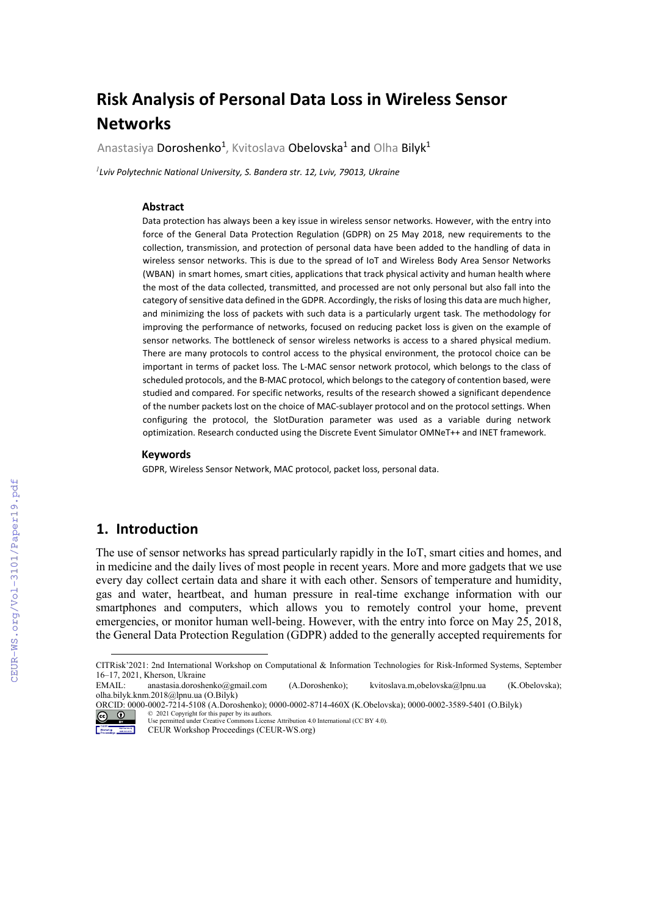# **Risk Analysis of Personal Data Loss in Wireless Sensor Networks**

Anastasiya Doroshenko<sup>1</sup>, Kvitoslava Obelovska<sup>1</sup> and Olha Bilyk<sup>1</sup>

*1 Lviv Polytechnic National University, S. Bandera str. 12, Lviv, 79013, Ukraine*

#### **Abstract**

Data protection has always been a key issue in wireless sensor networks. However, with the entry into force of the General Data Protection Regulation (GDPR) on 25 May 2018, new requirements to the collection, transmission, and protection of personal data have been added to the handling of data in wireless sensor networks. This is due to the spread of IoT and Wireless Body Area Sensor Networks (WBAN) in smart homes, smart cities, applications that track physical activity and human health where the most of the data collected, transmitted, and processed are not only personal but also fall into the category of sensitive data defined in the GDPR. Accordingly, the risks of losing this data are much higher, and minimizing the loss of packets with such data is a particularly urgent task. The methodology for improving the performance of networks, focused on reducing packet loss is given on the example of sensor networks. The bottleneck of sensor wireless networks is access to a shared physical medium. There are many protocols to control access to the physical environment, the protocol choice can be important in terms of packet loss. The L-MAC sensor network protocol, which belongs to the class of scheduled protocols, and the B-MAC protocol, which belongs to the category of contention based, were studied and compared. For specific networks, results of the research showed a significant dependence of the number packets lost on the choice of MAC-sublayer protocol and on the protocol settings. When configuring the protocol, the SlotDuration parameter was used as a variable during network optimization. Research conducted using the Discrete Event Simulator OMNeT++ and INET framework.

#### **Keywords [1](#page-0-0)**

GDPR, Wireless Sensor Network, MAC protocol, packet loss, personal data.

# **1. Introduction**

The use of sensor networks has spread particularly rapidly in the IoT, smart cities and homes, and in medicine and the daily lives of most people in recent years. More and more gadgets that we use every day collect certain data and share it with each other. Sensors of temperature and humidity, gas and water, heartbeat, and human pressure in real-time exchange information with our smartphones and computers, which allows you to remotely control your home, prevent emergencies, or monitor human well-being. However, with the entry into force on May 25, 2018, the General Data Protection Regulation (GDPR) added to the generally accepted requirements for

© 2021 Copyright for this paper by its authors. Use permitted under Creative Commons License Attribution 4.0 International (CC BY 4.0).

CEUR Workshop Proceedings (CEUR-WS.org)

<span id="page-0-0"></span>CITRisk'2021: 2nd International Workshop on Computational & Information Technologies for Risk-Informed Systems, September 16–17, 2021, Kherson, Ukraine<br>EMAIL: anastasia.dorosh

anastasia.doroshenko@gmail.com (A.Doroshenko); kvitoslava.m,obelovska@lpnu.ua (K.Obelovska); olha.bilyk.knm.2018@lpnu.ua (O.Bilyk)

ORCID: 0000-0002-7214-5108 (A.Doroshenko)[; 0000-0002-8714-460X](https://orcid.org/https:/orcid.org/0000-0002-8714-460X) (K.Obelovska); 0000-0002-3589-5401 (O.Bilyk)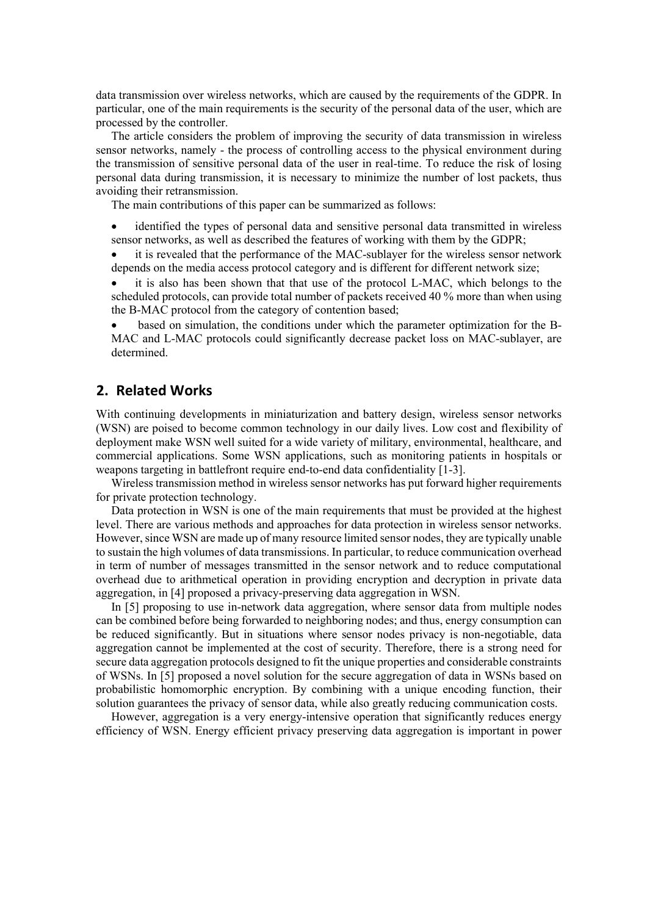data transmission over wireless networks, which are caused by the requirements of the GDPR. In particular, one of the main requirements is the security of the personal data of the user, which are processed by the controller.

The article considers the problem of improving the security of data transmission in wireless sensor networks, namely - the process of controlling access to the physical environment during the transmission of sensitive personal data of the user in real-time. To reduce the risk of losing personal data during transmission, it is necessary to minimize the number of lost packets, thus avoiding their retransmission.

The main contributions of this paper can be summarized as follows:

• identified the types of personal data and sensitive personal data transmitted in wireless sensor networks, as well as described the features of working with them by the GDPR;

it is revealed that the performance of the MAC-sublayer for the wireless sensor network depends on the media access protocol category and is different for different network size;

it is also has been shown that that use of the protocol L-MAC, which belongs to the scheduled protocols, can provide total number of packets received 40 % more than when using the B-MAC protocol from the category of contention based;

• based on simulation, the conditions under which the parameter optimization for the B-MAC and L-MAC protocols could significantly decrease packet loss on MAC-sublayer, are determined.

# **2. Related Works**

With continuing developments in miniaturization and battery design, wireless sensor networks (WSN) are poised to become common technology in our daily lives. Low cost and flexibility of deployment make WSN well suited for a wide variety of military, environmental, healthcare, and commercial applications. Some WSN applications, such as monitoring patients in hospitals or weapons targeting in battlefront require end-to-end data confidentiality [1-3].

Wireless transmission method in wireless sensor networks has put forward higher requirements for private protection technology.

Data protection in WSN is one of the main requirements that must be provided at the highest level. There are various methods and approaches for data protection in wireless sensor networks. However, since WSN are made up of many resource limited sensor nodes, they are typically unable to sustain the high volumes of data transmissions. In particular, to reduce communication overhead in term of number of messages transmitted in the sensor network and to reduce computational overhead due to arithmetical operation in providing encryption and decryption in private data aggregation, in [4] proposed a privacy-preserving data aggregation in WSN.

In [5] proposing to use in-network data aggregation, where sensor data from multiple nodes can be combined before being forwarded to neighboring nodes; and thus, energy consumption can be reduced significantly. But in situations where sensor nodes privacy is non-negotiable, data aggregation cannot be implemented at the cost of security. Therefore, there is a strong need for secure data aggregation protocols designed to fit the unique properties and considerable constraints of WSNs. In [5] proposed a novel solution for the secure aggregation of data in WSNs based on probabilistic homomorphic encryption. By combining with a unique encoding function, their solution guarantees the privacy of sensor data, while also greatly reducing communication costs.

However, aggregation is a very energy-intensive operation that significantly reduces energy efficiency of WSN. Energy efficient privacy preserving data aggregation is important in power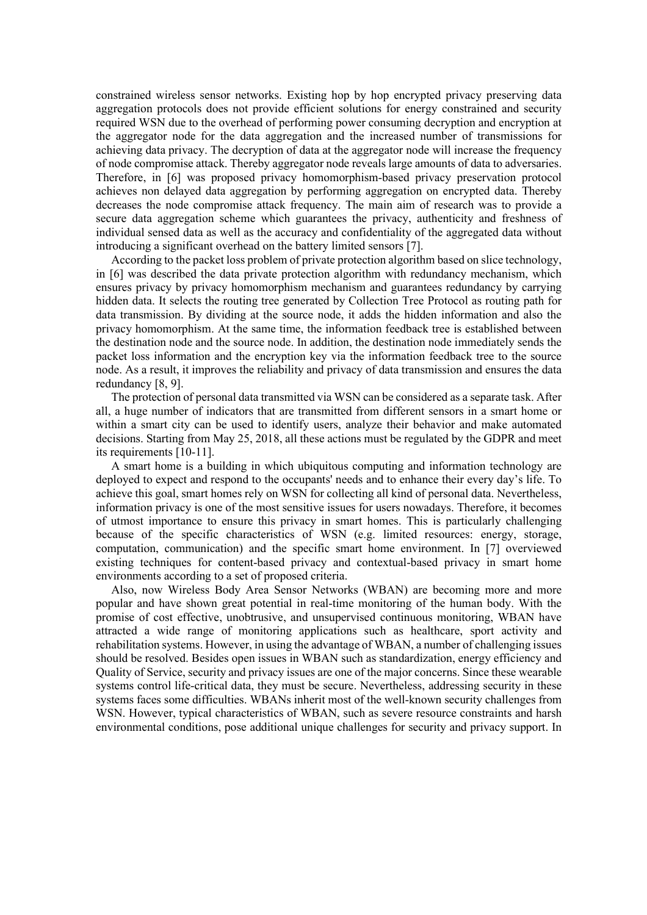constrained wireless sensor networks. Existing hop by hop encrypted privacy preserving data aggregation protocols does not provide efficient solutions for energy constrained and security required WSN due to the overhead of performing power consuming decryption and encryption at the aggregator node for the data aggregation and the increased number of transmissions for achieving data privacy. The decryption of data at the aggregator node will increase the frequency of node compromise attack. Thereby aggregator node reveals large amounts of data to adversaries. Therefore, in [6] was proposed privacy homomorphism-based privacy preservation protocol achieves non delayed data aggregation by performing aggregation on encrypted data. Thereby decreases the node compromise attack frequency. The main aim of research was to provide a secure data aggregation scheme which guarantees the privacy, authenticity and freshness of individual sensed data as well as the accuracy and confidentiality of the aggregated data without introducing a significant overhead on the battery limited sensors [7].

According to the packet loss problem of private protection algorithm based on slice technology, in [6] was described the data private protection algorithm with redundancy mechanism, which ensures privacy by privacy homomorphism mechanism and guarantees redundancy by carrying hidden data. It selects the routing tree generated by Collection Tree Protocol as routing path for data transmission. By dividing at the source node, it adds the hidden information and also the privacy homomorphism. At the same time, the information feedback tree is established between the destination node and the source node. In addition, the destination node immediately sends the packet loss information and the encryption key via the information feedback tree to the source node. As a result, it improves the reliability and privacy of data transmission and ensures the data redundancy [8, 9].

The protection of personal data transmitted via WSN can be considered as a separate task. After all, a huge number of indicators that are transmitted from different sensors in a smart home or within a smart city can be used to identify users, analyze their behavior and make automated decisions. Starting from May 25, 2018, all these actions must be regulated by the GDPR and meet its requirements [10-11].

A smart home is a building in which ubiquitous computing and information technology are deployed to expect and respond to the occupants' needs and to enhance their every day's life. To achieve this goal, smart homes rely on WSN for collecting all kind of personal data. Nevertheless, information privacy is one of the most sensitive issues for users nowadays. Therefore, it becomes of utmost importance to ensure this privacy in smart homes. This is particularly challenging because of the specific characteristics of WSN (e.g. limited resources: energy, storage, computation, communication) and the specific smart home environment. In [7] overviewed existing techniques for content-based privacy and contextual-based privacy in smart home environments according to a set of proposed criteria.

Also, now Wireless Body Area Sensor Networks (WBAN) are becoming more and more popular and have shown great potential in real-time monitoring of the human body. With the promise of cost effective, unobtrusive, and unsupervised continuous monitoring, WBAN have attracted a wide range of monitoring applications such as healthcare, sport activity and rehabilitation systems. However, in using the advantage of WBAN, a number of challenging issues should be resolved. Besides open issues in WBAN such as standardization, energy efficiency and Quality of Service, security and privacy issues are one of the major concerns. Since these wearable systems control life-critical data, they must be secure. Nevertheless, addressing security in these systems faces some difficulties. WBANs inherit most of the well-known security challenges from WSN. However, typical characteristics of WBAN, such as severe resource constraints and harsh environmental conditions, pose additional unique challenges for security and privacy support. In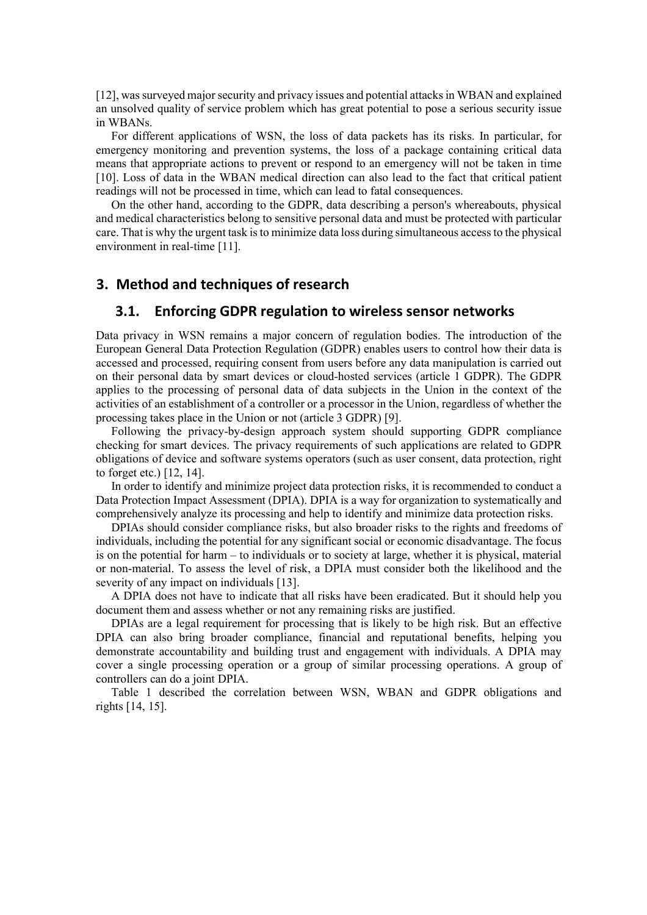[12], wassurveyed major security and privacy issues and potential attacks in WBAN and explained an unsolved quality of service problem which has great potential to pose a serious security issue in WBANs.

For different applications of WSN, the loss of data packets has its risks. In particular, for emergency monitoring and prevention systems, the loss of a package containing critical data means that appropriate actions to prevent or respond to an emergency will not be taken in time [10]. Loss of data in the WBAN medical direction can also lead to the fact that critical patient readings will not be processed in time, which can lead to fatal consequences.

On the other hand, according to the GDPR, data describing a person's whereabouts, physical and medical characteristics belong to sensitive personal data and must be protected with particular care. That is why the urgent task is to minimize data loss during simultaneous access to the physical environment in real-time [11].

# **3. Method and techniques of research**

## **3.1. Enforcing GDPR regulation to wireless sensor networks**

Data privacy in WSN remains a major concern of regulation bodies. The introduction of the European General Data Protection Regulation (GDPR) enables users to control how their data is accessed and processed, requiring consent from users before any data manipulation is carried out on their personal data by smart devices or cloud-hosted services (article 1 GDPR). The GDPR applies to the processing of personal data of data subjects in the Union in the context of the activities of an establishment of a controller or a processor in the Union, regardless of whether the processing takes place in the Union or not (article 3 GDPR) [9].

Following the privacy-by-design approach system should supporting GDPR compliance checking for smart devices. The privacy requirements of such applications are related to GDPR obligations of device and software systems operators (such as user consent, data protection, right to forget etc.) [12, 14].

In order to identify and minimize project data protection risks, it is recommended to conduct a Data Protection Impact Assessment (DPIA). DPIA is a way for organization to systematically and comprehensively analyze its processing and help to identify and minimize data protection risks.

DPIAs should consider compliance risks, but also broader risks to the rights and freedoms of individuals, including the potential for any significant social or economic disadvantage. The focus is on the potential for harm – to individuals or to society at large, whether it is physical, material or non-material. To assess the level of risk, a DPIA must consider both the likelihood and the severity of any impact on individuals [13].

A DPIA does not have to indicate that all risks have been eradicated. But it should help you document them and assess whether or not any remaining risks are justified.

DPIAs are a legal requirement for processing that is likely to be high risk. But an effective DPIA can also bring broader compliance, financial and reputational benefits, helping you demonstrate accountability and building trust and engagement with individuals. A DPIA may cover a single processing operation or a group of similar processing operations. A group of controllers can do a joint DPIA.

Table 1 described the correlation between WSN, WBAN and GDPR obligations and rights [14, 15].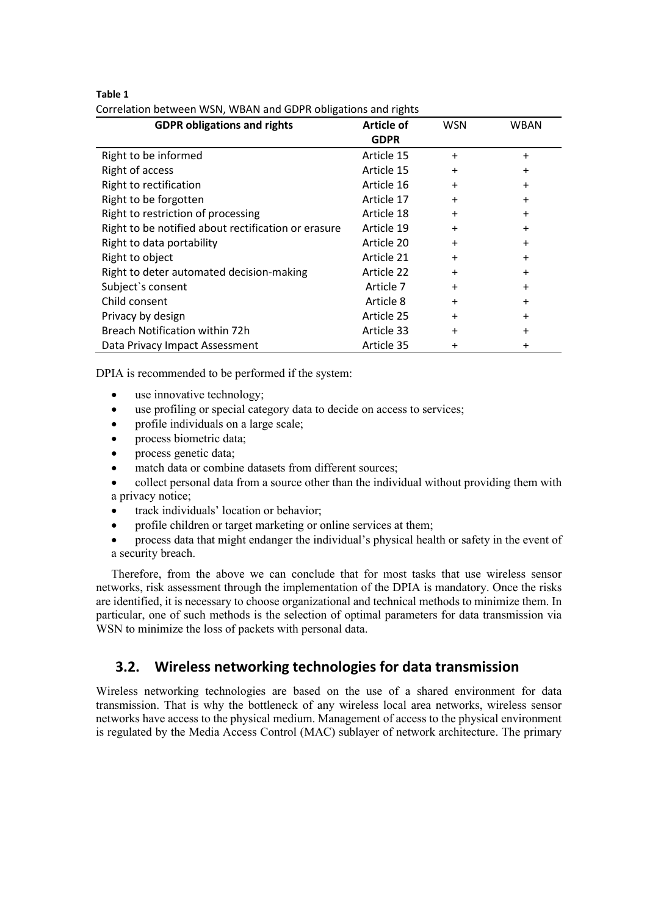#### **Table 1**

| Correlation between WSN, WBAN and GDPR obligations and rights |  |
|---------------------------------------------------------------|--|
|---------------------------------------------------------------|--|

| <b>GDPR obligations and rights</b>                  | Article of  | <b>WSN</b> | <b>WBAN</b> |
|-----------------------------------------------------|-------------|------------|-------------|
|                                                     | <b>GDPR</b> |            |             |
| Right to be informed                                | Article 15  | $\ddot{}$  | $\ddot{}$   |
| Right of access                                     | Article 15  | $\ddot{}$  | $\ddot{}$   |
| Right to rectification                              | Article 16  | $\ddot{}$  | $\ddot{}$   |
| Right to be forgotten                               | Article 17  | $\ddot{}$  | $\ddot{}$   |
| Right to restriction of processing                  | Article 18  | $\ddot{}$  | $\ddot{}$   |
| Right to be notified about rectification or erasure | Article 19  | $\ddot{}$  | $\ddot{}$   |
| Right to data portability                           | Article 20  | $\ddot{}$  | $\ddot{}$   |
| Right to object                                     | Article 21  | $\ddot{}$  | $\ddot{}$   |
| Right to deter automated decision-making            | Article 22  | $\ddot{}$  | $\ddot{}$   |
| Subject's consent                                   | Article 7   | $\ddot{}$  | $\ddot{}$   |
| Child consent                                       | Article 8   | $\ddot{}$  | $\ddot{}$   |
| Privacy by design                                   | Article 25  | $\ddot{}$  | $\ddot{}$   |
| Breach Notification within 72h                      | Article 33  | $\ddot{}$  | $\ddot{}$   |
| Data Privacy Impact Assessment                      | Article 35  | $\pmb{+}$  | +           |

DPIA is recommended to be performed if the system:

- use innovative technology;
- use profiling or special category data to decide on access to services;
- profile individuals on a large scale;
- process biometric data;
- process genetic data;
- match data or combine datasets from different sources:
- collect personal data from a source other than the individual without providing them with a privacy notice;
- track individuals' location or behavior;
- profile children or target marketing or online services at them;
- process data that might endanger the individual's physical health or safety in the event of a security breach.

Therefore, from the above we can conclude that for most tasks that use wireless sensor networks, risk assessment through the implementation of the DPIA is mandatory. Once the risks are identified, it is necessary to choose organizational and technical methods to minimize them. In particular, one of such methods is the selection of optimal parameters for data transmission via WSN to minimize the loss of packets with personal data.

# **3.2. Wireless networking technologies for data transmission**

Wireless networking technologies are based on the use of a shared environment for data transmission. That is why the bottleneck of any wireless local area networks, wireless sensor networks have access to the physical medium. Management of access to the physical environment is regulated by the Media Access Control (MAC) sublayer of network architecture. The primary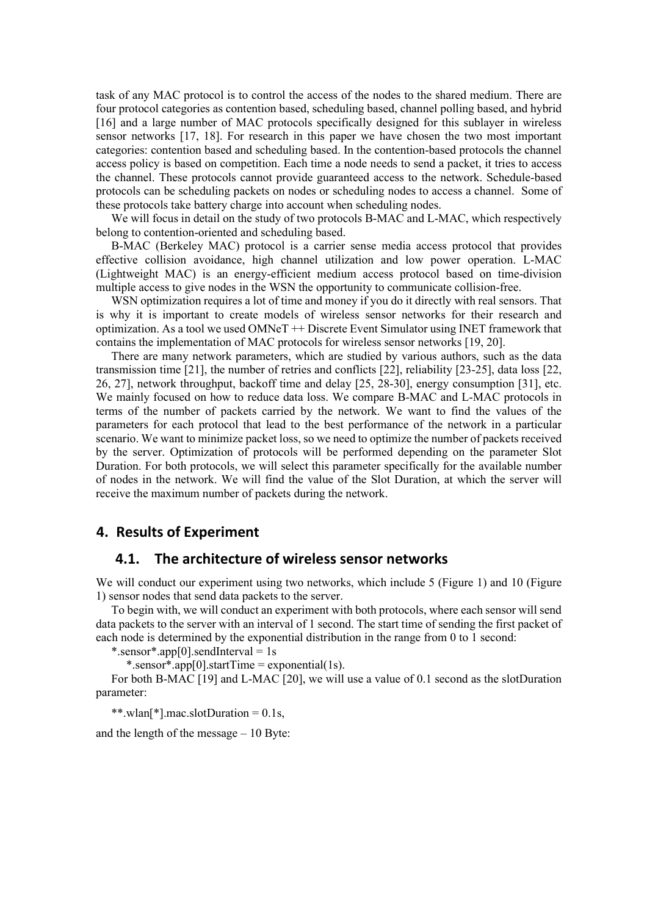task of any MAC protocol is to control the access of the nodes to the shared medium. There are four protocol categories as contention based, scheduling based, channel polling based, and hybrid [16] and a large number of MAC protocols specifically designed for this sublayer in wireless sensor networks [17, 18]. For research in this paper we have chosen the two most important categories: contention based and scheduling based. In the contention-based protocols the channel access policy is based on competition. Each time a node needs to send a packet, it tries to access the channel. These protocols cannot provide guaranteed access to the network. Schedule-based protocols can be scheduling packets on nodes or scheduling nodes to access a channel. Some of these protocols take battery charge into account when scheduling nodes.

We will focus in detail on the study of two protocols B-MAC and L-MAC, which respectively belong to contention-oriented and scheduling based.

B-MAC (Berkeley MAC) protocol is a carrier sense media access protocol that provides effective collision avoidance, high channel utilization and low power operation. L-MAC (Lightweight MAC) is an energy-efficient medium access protocol based on time-division multiple access to give nodes in the WSN the opportunity to communicate collision-free.

WSN optimization requires a lot of time and money if you do it directly with real sensors. That is why it is important to create models of wireless sensor networks for their research and optimization. As a tool we used OMNeT ++ Discrete Event Simulator using INET framework that contains the implementation of MAC protocols for wireless sensor networks [19, 20].

There are many network parameters, which are studied by various authors, such as the data transmission time [21], the number of retries and conflicts [22], reliability [23-25], data loss [22, 26, 27], network throughput, backoff time and delay [25, 28-30], energy consumption [31], etc. We mainly focused on how to reduce data loss. We compare B-MAC and L-MAC protocols in terms of the number of packets carried by the network. We want to find the values of the parameters for each protocol that lead to the best performance of the network in a particular scenario. We want to minimize packet loss, so we need to optimize the number of packets received by the server. Optimization of protocols will be performed depending on the parameter Slot Duration. For both protocols, we will select this parameter specifically for the available number of nodes in the network. We will find the value of the Slot Duration, at which the server will receive the maximum number of packets during the network.

# **4. Results of Experiment**

#### **4.1. The architecture of wireless sensor networks**

We will conduct our experiment using two networks, which include 5 (Figure 1) and 10 (Figure 1) sensor nodes that send data packets to the server.

To begin with, we will conduct an experiment with both protocols, where each sensor will send data packets to the server with an interval of 1 second. The start time of sending the first packet of each node is determined by the exponential distribution in the range from 0 to 1 second:

\*.sensor\*.app[0].sendInterval = 1s

\*.sensor\*.app[0].startTime = exponential(1s).

For both B-MAC [19] and L-MAC [20], we will use a value of 0.1 second as the slotDuration parameter:

\*\*.wlan<sup>[\*]</sup>.mac.slotDuration =  $0.1$ s,

and the length of the message – 10 Byte: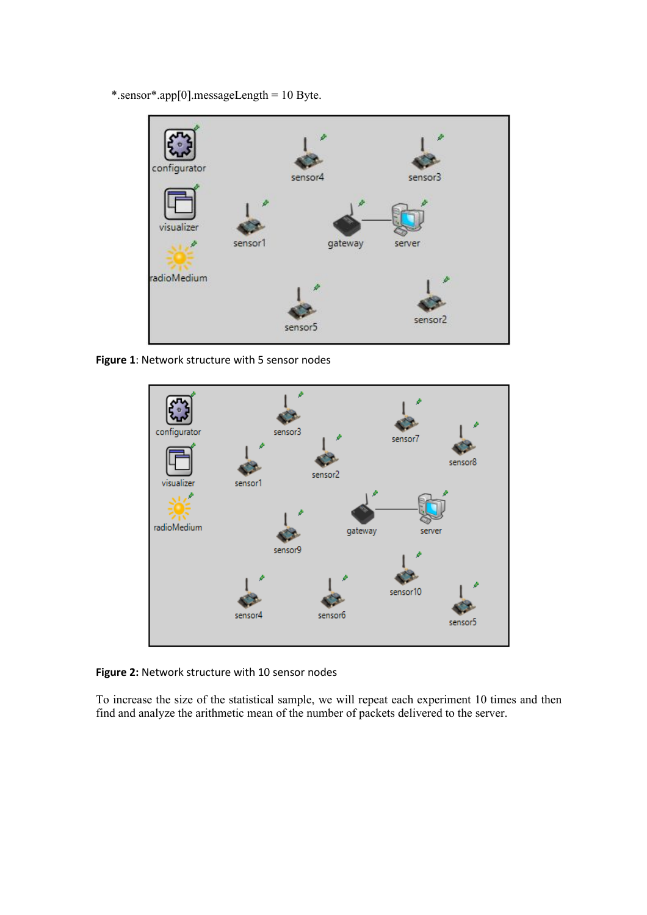\*.sensor\*.app[0].messageLength = 10 Byte.



**Figure 1**: Network structure with 5 sensor nodes



**Figure 2:** Network structure with 10 sensor nodes

To increase the size of the statistical sample, we will repeat each experiment 10 times and then find and analyze the arithmetic mean of the number of packets delivered to the server.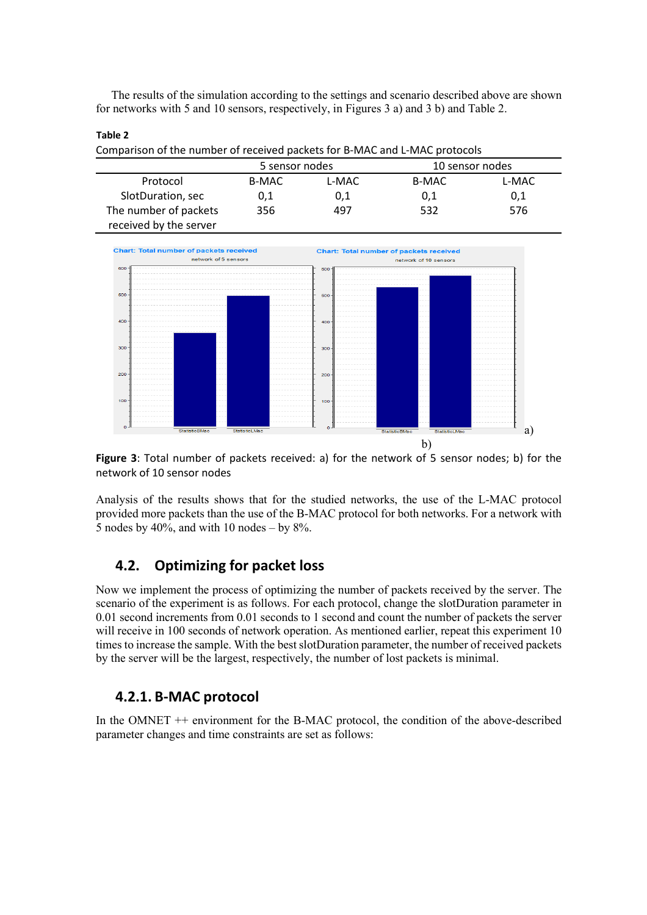The results of the simulation according to the settings and scenario described above are shown for networks with 5 and 10 sensors, respectively, in Figures 3 a) and 3 b) and Table 2.

#### **Table 2**

Comparison of the number of received packets for B-MAC and L-MAC protocols

|                        | 5 sensor nodes |       | 10 sensor nodes |       |
|------------------------|----------------|-------|-----------------|-------|
| Protocol               | B-MAC          | L-MAC | B-MAC           | L-MAC |
| SlotDuration, sec      | 0.1            | 0,1   | 0,1             | 0,1   |
| The number of packets  | 356            | 497   | 532             | 576   |
| received by the server |                |       |                 |       |



**Figure 3**: Total number of packets received: a) for the network of 5 sensor nodes; b) for the network of 10 sensor nodes

Analysis of the results shows that for the studied networks, the use of the L-MAC protocol provided more packets than the use of the B-MAC protocol for both networks. For a network with 5 nodes by 40%, and with 10 nodes – by  $8\%$ .

# **4.2. Optimizing for packet loss**

Now we implement the process of optimizing the number of packets received by the server. The scenario of the experiment is as follows. For each protocol, change the slotDuration parameter in 0.01 second increments from 0.01 seconds to 1 second and count the number of packets the server will receive in 100 seconds of network operation. As mentioned earlier, repeat this experiment 10 times to increase the sample. With the best slotDuration parameter, the number of received packets by the server will be the largest, respectively, the number of lost packets is minimal.

# **4.2.1. B-MAC protocol**

In the OMNET ++ environment for the B-MAC protocol, the condition of the above-described parameter changes and time constraints are set as follows: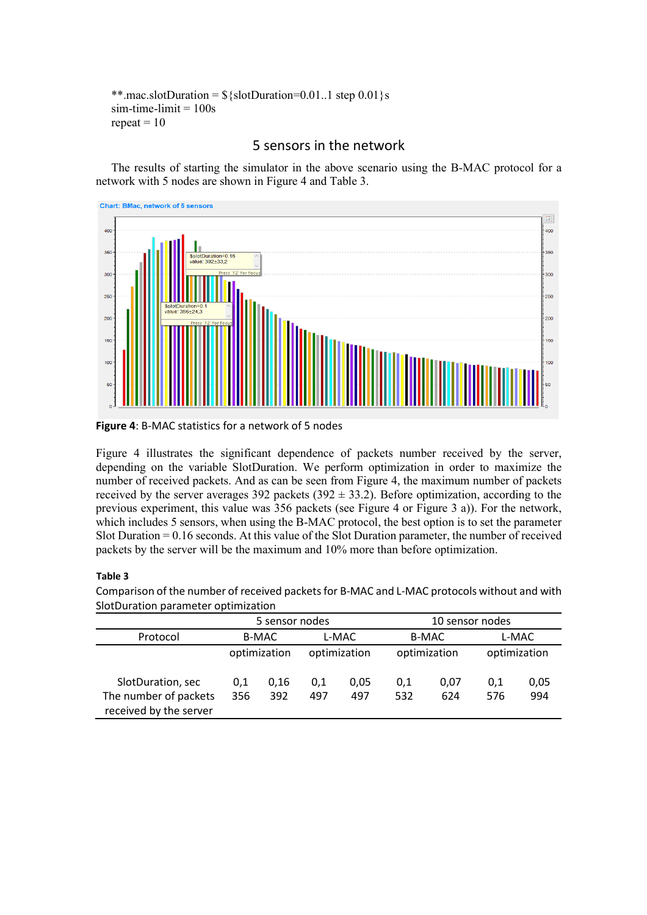```
**.mac.slotDuration = \frac{1}{5}{slotDuration=0.01..1 step 0.01 }s
sim-time-limit = 100srepeated = 10
```
# 5 sensors in the network

The results of starting the simulator in the above scenario using the B-MAC protocol for a network with 5 nodes are shown in Figure 4 and Table 3.



**Figure 4**: B-MAC statistics for a network of 5 nodes

Figure 4 illustrates the significant dependence of packets number received by the server, depending on the variable SlotDuration. We perform optimization in order to maximize the number of received packets. And as can be seen from Figure 4, the maximum number of packets received by the server averages 392 packets (392  $\pm$  33.2). Before optimization, according to the previous experiment, this value was 356 packets (see Figure 4 or Figure 3 a)). For the network, which includes 5 sensors, when using the B-MAC protocol, the best option is to set the parameter Slot Duration = 0.16 seconds. At this value of the Slot Duration parameter, the number of received packets by the server will be the maximum and 10% more than before optimization.

# **Table 3**

|                                                 | 5 sensor nodes |              |              |      | 10 sensor nodes |      |              |      |
|-------------------------------------------------|----------------|--------------|--------------|------|-----------------|------|--------------|------|
| Protocol                                        | B-MAC          |              | L-MAC        |      | <b>B-MAC</b>    |      | L-MAC        |      |
|                                                 |                | optimization | optimization |      | optimization    |      | optimization |      |
| SlotDuration, sec                               | 0.1            | 0,16         | 0,1          | 0.05 | 0,1             | 0.07 | 0,1          | 0,05 |
| The number of packets<br>received by the server | 356            | 392          | 497          | 497  | 532             | 624  | 576          | 994  |

Comparison of the number of received packets for B-MAC and L-MAC protocols without and with SlotDuration parameter optimization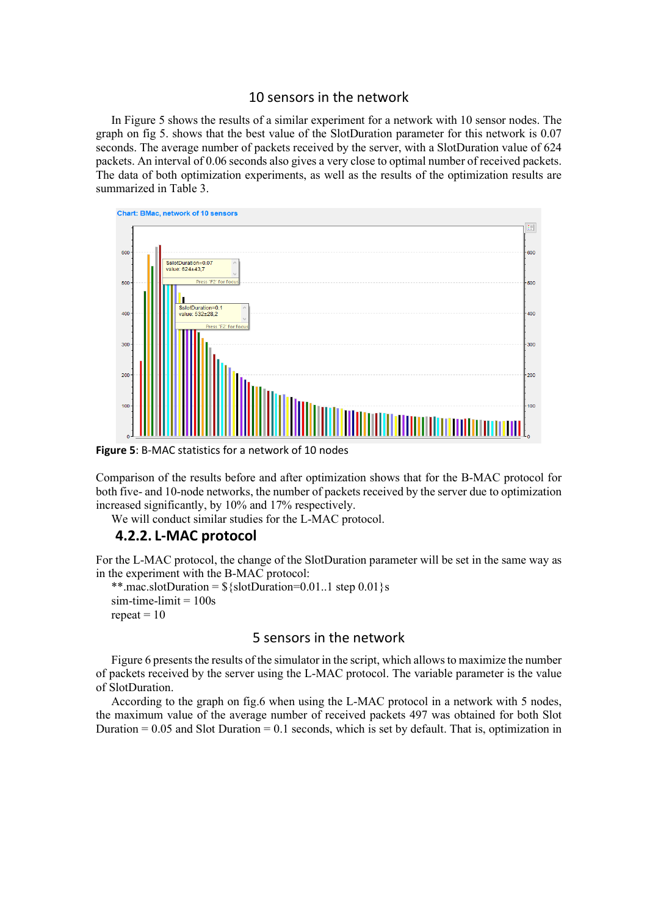## 10 sensors in the network

In Figure 5 shows the results of a similar experiment for a network with 10 sensor nodes. The graph on fig 5. shows that the best value of the SlotDuration parameter for this network is 0.07 seconds. The average number of packets received by the server, with a SlotDuration value of 624 packets. An interval of 0.06 seconds also gives a very close to optimal number of received packets. The data of both optimization experiments, as well as the results of the optimization results are summarized in Table 3.



**Figure 5**: B-MAC statistics for a network of 10 nodes

Comparison of the results before and after optimization shows that for the B-MAC protocol for both five- and 10-node networks, the number of packets received by the server due to optimization increased significantly, by 10% and 17% respectively.

We will conduct similar studies for the L-MAC protocol.

# **4.2.2. L-MAC protocol**

For the L-MAC protocol, the change of the SlotDuration parameter will be set in the same way as in the experiment with the B-MAC protocol:

```
**.mac.slotDuration = \{\text{slot}Duration = 0.01..1 step 0.01 \}s
sim-time-limit = 100srepeat = 10
```
## 5 sensors in the network

Figure 6 presents the results of the simulator in the script, which allows to maximize the number of packets received by the server using the L-MAC protocol. The variable parameter is the value of SlotDuration.

According to the graph on fig.6 when using the L-MAC protocol in a network with 5 nodes, the maximum value of the average number of received packets 497 was obtained for both Slot Duration  $= 0.05$  and Slot Duration  $= 0.1$  seconds, which is set by default. That is, optimization in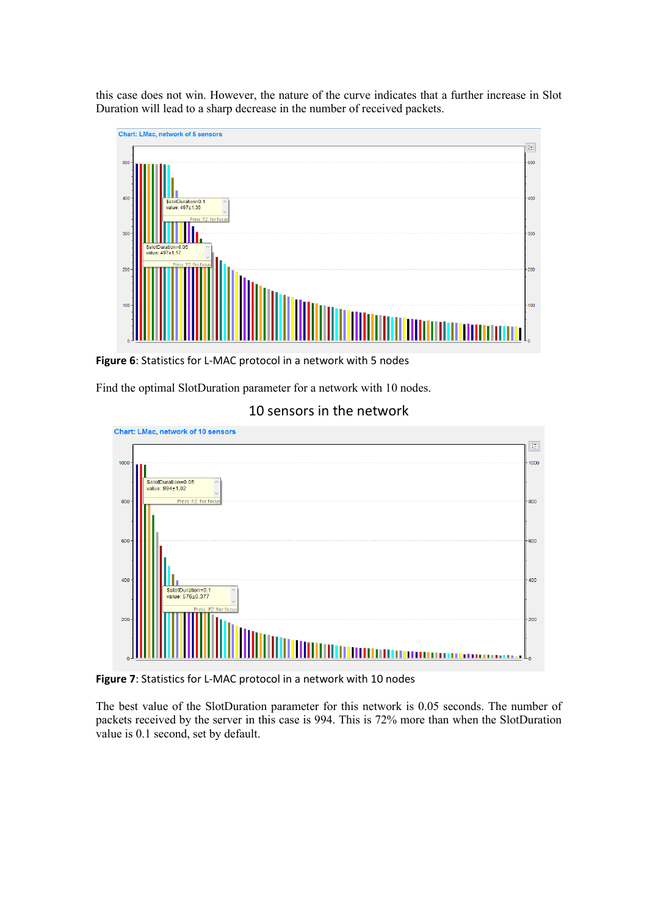this case does not win. However, the nature of the curve indicates that a further increase in Slot Duration will lead to a sharp decrease in the number of received packets.



**Figure 6**: Statistics for L-MAC protocol in a network with 5 nodes

Find the optimal SlotDuration parameter for a network with 10 nodes.





**Figure 7**: Statistics for L-MAC protocol in a network with 10 nodes

The best value of the SlotDuration parameter for this network is 0.05 seconds. The number of packets received by the server in this case is 994. This is 72% more than when the SlotDuration value is 0.1 second, set by default.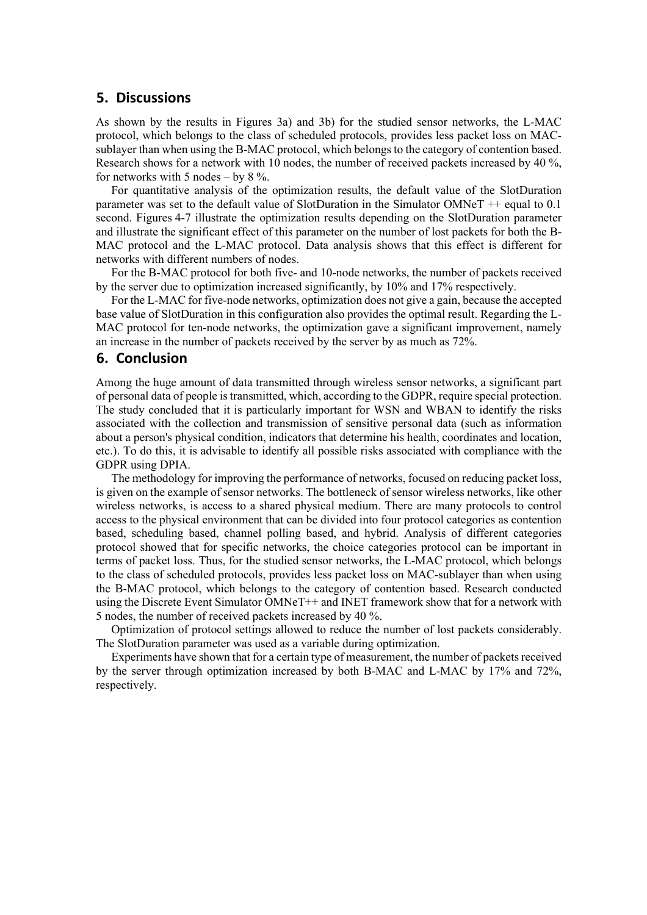### **5. Discussions**

As shown by the results in Figures 3a) and 3b) for the studied sensor networks, the L-MAC protocol, which belongs to the class of scheduled protocols, provides less packet loss on MACsublayer than when using the B-MAC protocol, which belongs to the category of contention based. Research shows for a network with 10 nodes, the number of received packets increased by 40 %, for networks with 5 nodes – by  $8\%$ .

For quantitative analysis of the optimization results, the default value of the SlotDuration parameter was set to the default value of SlotDuration in the Simulator OMNeT ++ equal to 0.1 second. Figures 4-7 illustrate the optimization results depending on the SlotDuration parameter and illustrate the significant effect of this parameter on the number of lost packets for both the B-MAC protocol and the L-MAC protocol. Data analysis shows that this effect is different for networks with different numbers of nodes.

For the B-MAC protocol for both five- and 10-node networks, the number of packets received by the server due to optimization increased significantly, by 10% and 17% respectively.

For the L-MAC for five-node networks, optimization does not give a gain, because the accepted base value of SlotDuration in this configuration also provides the optimal result. Regarding the L-MAC protocol for ten-node networks, the optimization gave a significant improvement, namely an increase in the number of packets received by the server by as much as 72%.

#### **6. Conclusion**

Among the huge amount of data transmitted through wireless sensor networks, a significant part of personal data of people is transmitted, which, according to the GDPR, require special protection. The study concluded that it is particularly important for WSN and WBAN to identify the risks associated with the collection and transmission of sensitive personal data (such as information about a person's physical condition, indicators that determine his health, coordinates and location, etc.). To do this, it is advisable to identify all possible risks associated with compliance with the GDPR using DPIA.

The methodology for improving the performance of networks, focused on reducing packet loss, is given on the example of sensor networks. The bottleneck of sensor wireless networks, like other wireless networks, is access to a shared physical medium. There are many protocols to control access to the physical environment that can be divided into four protocol categories as contention based, scheduling based, channel polling based, and hybrid. Analysis of different categories protocol showed that for specific networks, the choice categories protocol can be important in terms of packet loss. Thus, for the studied sensor networks, the L-MAC protocol, which belongs to the class of scheduled protocols, provides less packet loss on MAC-sublayer than when using the B-MAC protocol, which belongs to the category of contention based. Research conducted using the Discrete Event Simulator OMNeT++ and INET framework show that for a network with 5 nodes, the number of received packets increased by 40 %.

Optimization of protocol settings allowed to reduce the number of lost packets considerably. The SlotDuration parameter was used as a variable during optimization.

Experiments have shown that for a certain type of measurement, the number of packets received by the server through optimization increased by both B-MAC and L-MAC by 17% and 72%, respectively.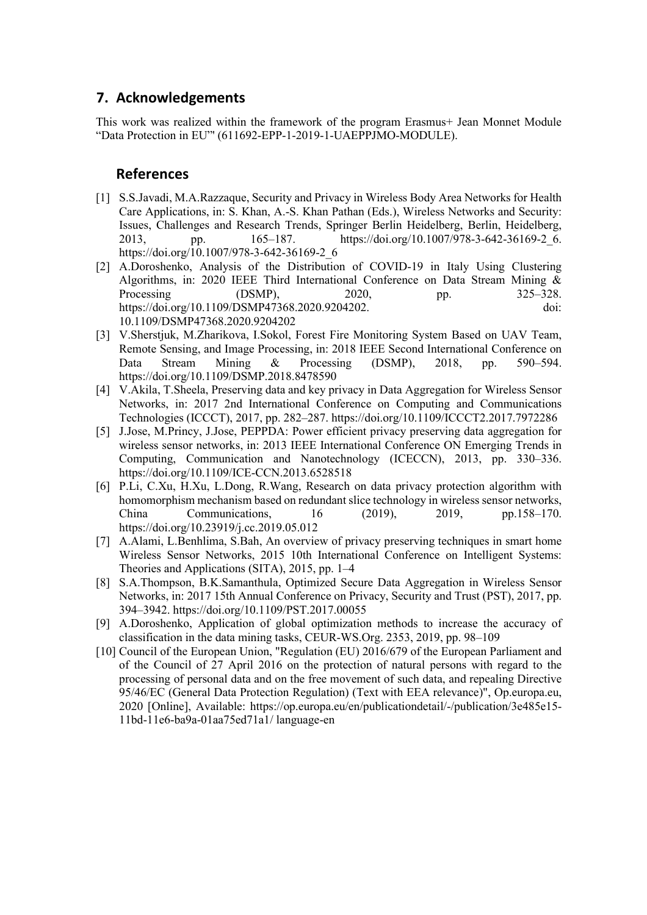# **7. Acknowledgements**

This work was realized within the framework of the program Erasmus+ Jean Monnet Module "Data Protection in EU"' (611692-EPP-1-2019-1-UAEPPJMO-MODULE).

# **References**

- [1] S.S.Javadi, M.A.Razzaque, Security and Privacy in Wireless Body Area Networks for Health Care Applications, in: S. Khan, A.-S. Khan Pathan (Eds.), Wireless Networks and Security: Issues, Challenges and Research Trends, Springer Berlin Heidelberg, Berlin, Heidelberg, 2013, pp. 165–187. [https://doi.org/10.1007/978-3-642-36169-2\\_6.](https://doi.org/10.1007/978-3-642-36169-2_6) [https://doi.org/10.1007/978-3-642-36169-2\\_6](https://doi.org/10.1007/978-3-642-36169-2_6)
- [2] A.Doroshenko, Analysis of the Distribution of COVID-19 in Italy Using Clustering Algorithms, in: 2020 IEEE Third International Conference on Data Stream Mining & Processing (DSMP), 2020, pp. 325–328. [https://doi.org/10.1109/DSMP47368.2020.9204202.](https://doi.org/10.1109/DSMP47368.2020.9204202) doi: 10.1109/DSMP47368.2020.9204202
- [3] V.Sherstjuk, M.Zharikova, I.Sokol, Forest Fire Monitoring System Based on UAV Team, Remote Sensing, and Image Processing, in: 2018 IEEE Second International Conference on Data Stream Mining & Processing (DSMP), 2018, pp. 590–594. <https://doi.org/10.1109/DSMP.2018.8478590>
- [4] V.Akila, T.Sheela, Preserving data and key privacy in Data Aggregation for Wireless Sensor Networks, in: 2017 2nd International Conference on Computing and Communications Technologies (ICCCT), 2017, pp. 282–287[. https://doi.org/10.1109/ICCCT2.2017.7972286](https://doi.org/10.1109/ICCCT2.2017.7972286)
- [5] J.Jose, M.Princy, J.Jose, PEPPDA: Power efficient privacy preserving data aggregation for wireless sensor networks, in: 2013 IEEE International Conference ON Emerging Trends in Computing, Communication and Nanotechnology (ICECCN), 2013, pp. 330–336. <https://doi.org/10.1109/ICE-CCN.2013.6528518>
- [6] P.Li, C.Xu, H.Xu, L.Dong, R.Wang, Research on data privacy protection algorithm with homomorphism mechanism based on redundant slice technology in wireless sensor networks, China Communications, 16 (2019), 2019, pp.158–170. <https://doi.org/10.23919/j.cc.2019.05.012>
- [7] A.Alami, L.Benhlima, S.Bah, An overview of privacy preserving techniques in smart home Wireless Sensor Networks, 2015 10th International Conference on Intelligent Systems: Theories and Applications (SITA), 2015, pp. 1–4
- [8] S.A.Thompson, B.K.Samanthula, Optimized Secure Data Aggregation in Wireless Sensor Networks, in: 2017 15th Annual Conference on Privacy, Security and Trust (PST), 2017, pp. 394–3942.<https://doi.org/10.1109/PST.2017.00055>
- [9] A.Doroshenko, Application of global optimization methods to increase the accuracy of classification in the data mining tasks, CEUR-WS.Org. 2353, 2019, pp. 98–109
- [10] Council of the European Union, "Regulation (EU) 2016/679 of the European Parliament and of the Council of 27 April 2016 on the protection of natural persons with regard to the processing of personal data and on the free movement of such data, and repealing Directive 95/46/EC (General Data Protection Regulation) (Text with EEA relevance)", Op.europa.eu, 2020 [Online], Available: [https://op.europa.eu/en/publicationdetail/-/publication/3e485e15-](https://op.europa.eu/en/publicationdetail/-/publication/3e485e15-11bd-11e6-ba9a-01aa75ed71a1/%20language-en) [11bd-11e6-ba9a-01aa75ed71a1/ language-en](https://op.europa.eu/en/publicationdetail/-/publication/3e485e15-11bd-11e6-ba9a-01aa75ed71a1/%20language-en)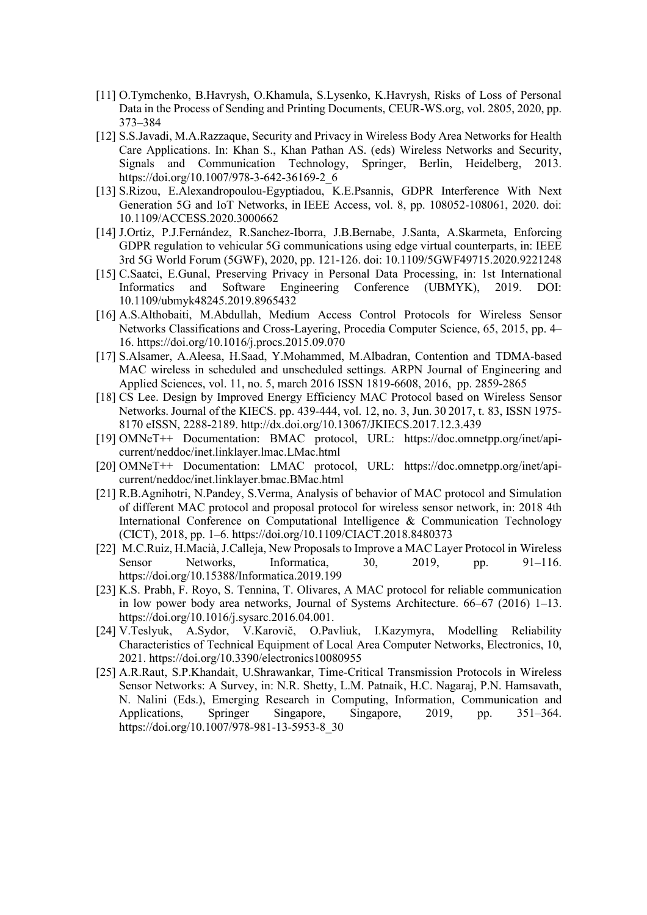- [11] O.Tymchenko, B.Havrysh, O.Khamula, S.Lysenko, K.Havrysh, Risks of Loss of Personal Data in the Process of Sending and Printing Documents, CEUR-WS.org, vol. 2805, 2020, pp. 373–384
- [12] S.S.Javadi, M.A.Razzaque, Security and Privacy in Wireless Body Area Networks for Health Care Applications. In: Khan S., Khan Pathan AS. (eds) Wireless Networks and Security, Signals and Communication Technology, Springer, Berlin, Heidelberg, 2013. [https://doi.org/10.1007/978-3-642-36169-2\\_6](https://doi.org/10.1007/978-3-642-36169-2_6)
- [13] S.Rizou, E.Alexandropoulou-Egyptiadou, K.E.Psannis, GDPR Interference With Next Generation 5G and IoT Networks, in IEEE Access, vol. 8, pp. 108052-108061, 2020. doi: 10.1109/ACCESS.2020.3000662
- [14] J.Ortiz, P.J.Fernández, R.Sanchez-Iborra, J.B.Bernabe, J.Santa, A.Skarmeta, Enforcing GDPR regulation to vehicular 5G communications using edge virtual counterparts, in: IEEE 3rd 5G World Forum (5GWF), 2020, pp. 121-126. doi: 10.1109/5GWF49715.2020.9221248
- [15] C.Saatci, E.Gunal, Preserving Privacy in Personal Data Processing, in: 1st International Informatics and Software Engineering Conference (UBMYK), 2019. DOI: 10.1109/ubmyk48245.2019.8965432
- [16] A.S.Althobaiti, M.Abdullah, Medium Access Control Protocols for Wireless Sensor Networks Classifications and Cross-Layering, Procedia Computer Science, 65, 2015, pp. 4– 16.<https://doi.org/10.1016/j.procs.2015.09.070>
- [17] S.Alsamer, A.Aleesa, H.Saad, Y.Mohammed, M.Albadran, Contention and TDMA-based MAC wireless in scheduled and unscheduled settings. ARPN Journal of Engineering and Applied Sciences, vol. 11, no. 5, march 2016 ISSN 1819-6608, 2016, pp. 2859-2865
- [18] CS Lee. Design by Improved Energy Efficiency MAC Protocol based on Wireless Sensor Networks. Journal of the KIECS. pp. 439-444, vol. 12, no. 3, Jun. 30 2017, t. 83, ISSN 1975- 8170 eISSN, 2288-2189. http://dx.doi.org/10.13067/JKIECS.2017.12.3.439
- [19] OMNeT++ Documentation: BMAC protocol, URL: [https://doc.omnetpp.org/inet/api](https://doc.omnetpp.org/inet/api-current/neddoc/inet.linklayer.lmac.LMac.html)[current/neddoc/inet.linklayer.lmac.LMac.html](https://doc.omnetpp.org/inet/api-current/neddoc/inet.linklayer.lmac.LMac.html)
- [20] OMNeT++ Documentation: LMAC protocol, URL: [https://doc.omnetpp.org/inet/api](https://doc.omnetpp.org/inet/api-current/neddoc/inet.linklayer.bmac.BMac.html)[current/neddoc/inet.linklayer.bmac.BMac.html](https://doc.omnetpp.org/inet/api-current/neddoc/inet.linklayer.bmac.BMac.html)
- [21] R.B.Agnihotri, N.Pandey, S.Verma, Analysis of behavior of MAC protocol and Simulation of different MAC protocol and proposal protocol for wireless sensor network, in: 2018 4th International Conference on Computational Intelligence & Communication Technology (CICT), 2018, pp. 1–6.<https://doi.org/10.1109/CIACT.2018.8480373>
- [22] M.C.Ruiz, H.Macià, J.Calleja, New Proposals to Improve a MAC Layer Protocol in Wireless Sensor Networks, Informatica, 30, 2019, pp. 91-116. <https://doi.org/10.15388/Informatica.2019.199>
- [23] K.S. Prabh, F. Royo, S. Tennina, T. Olivares, A MAC protocol for reliable communication in low power body area networks, Journal of Systems Architecture. 66–67 (2016) 1–13. [https://doi.org/10.1016/j.sysarc.2016.04.001.](https://doi.org/10.1016/j.sysarc.2016.04.001)
- [24] V.Teslyuk, A.Sydor, V.Karovič, O.Pavliuk, I.Kazymyra, Modelling Reliability Characteristics of Technical Equipment of Local Area Computer Networks, Electronics, 10, 2021.<https://doi.org/10.3390/electronics10080955>
- [25] A.R.Raut, S.P.Khandait, U.Shrawankar, Time-Critical Transmission Protocols in Wireless Sensor Networks: A Survey, in: N.R. Shetty, L.M. Patnaik, H.C. Nagaraj, P.N. Hamsavath, N. Nalini (Eds.), Emerging Research in Computing, Information, Communication and Applications, Springer Singapore, Singapore, 2019, pp. 351–364. [https://doi.org/10.1007/978-981-13-5953-8\\_30](https://doi.org/10.1007/978-981-13-5953-8_30)